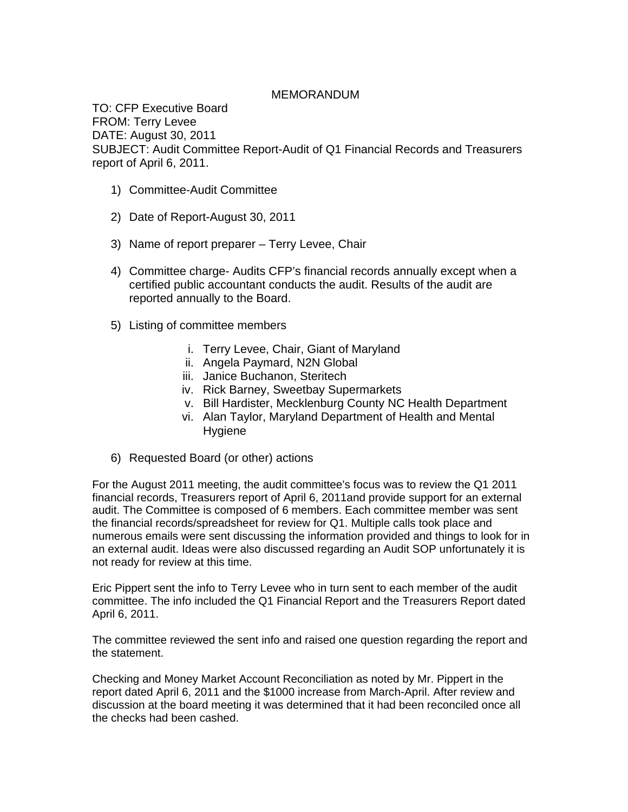## MEMORANDUM

TO: CFP Executive Board FROM: Terry Levee DATE: August 30, 2011 SUBJECT: Audit Committee Report-Audit of Q1 Financial Records and Treasurers report of April 6, 2011.

- 1) Committee-Audit Committee
- 2) Date of Report-August 30, 2011
- 3) Name of report preparer Terry Levee, Chair
- 4) Committee charge- Audits CFP's financial records annually except when a certified public accountant conducts the audit. Results of the audit are reported annually to the Board.
- 5) Listing of committee members
	- i. Terry Levee, Chair, Giant of Maryland
	- ii. Angela Paymard, N2N Global
	- iii. Janice Buchanon, Steritech
	- iv. Rick Barney, Sweetbay Supermarkets
	- v. Bill Hardister, Mecklenburg County NC Health Department
	- vi. Alan Taylor, Maryland Department of Health and Mental **Hygiene**
- 6) Requested Board (or other) actions

For the August 2011 meeting, the audit committee's focus was to review the Q1 2011 financial records, Treasurers report of April 6, 2011and provide support for an external audit. The Committee is composed of 6 members. Each committee member was sent the financial records/spreadsheet for review for Q1. Multiple calls took place and numerous emails were sent discussing the information provided and things to look for in an external audit. Ideas were also discussed regarding an Audit SOP unfortunately it is not ready for review at this time.

Eric Pippert sent the info to Terry Levee who in turn sent to each member of the audit committee. The info included the Q1 Financial Report and the Treasurers Report dated April 6, 2011.

The committee reviewed the sent info and raised one question regarding the report and the statement.

Checking and Money Market Account Reconciliation as noted by Mr. Pippert in the report dated April 6, 2011 and the \$1000 increase from March-April. After review and discussion at the board meeting it was determined that it had been reconciled once all the checks had been cashed.